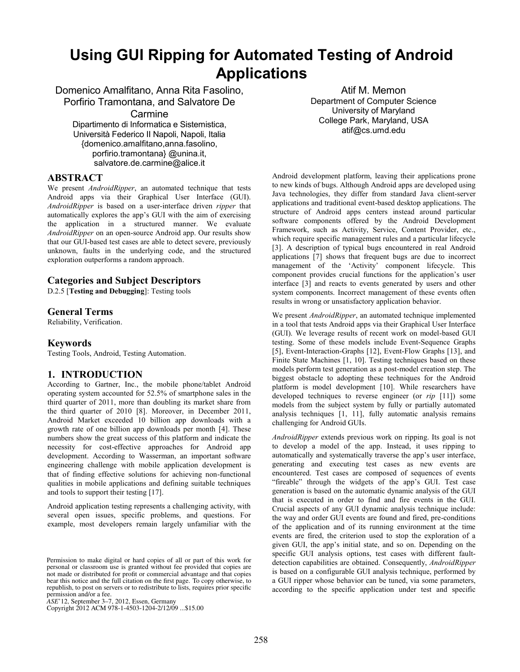# **Using GUI Ripping for Automated Testing of Android Applications**

Domenico Amalfitano, Anna Rita Fasolino, Porfirio Tramontana, and Salvatore De Carmine Dipartimento di Informatica e Sistemistica, Università Federico II Napoli, Napoli, Italia {domenico.amalfitano,anna.fasolino,

porfirio.tramontana} @unina.it, salvatore.de.carmine@alice.it

#### **ABSTRACT**

We present *AndroidRipper*, an automated technique that tests Android apps via their Graphical User Interface (GUI). *AndroidRipper* is based on a user-interface driven *ripper* that automatically explores the app's GUI with the aim of exercising the application in a structured manner. We evaluate *AndroidRipper* on an open-source Android app. Our results show that our GUI-based test cases are able to detect severe, previously unknown, faults in the underlying code, and the structured exploration outperforms a random approach.

### **Categories and Subject Descriptors**

D.2.5 [**Testing and Debugging**]: Testing tools

#### **General Terms**

Reliability, Verification.

# **Keywords**

Testing Tools, Android, Testing Automation.

# **1. INTRODUCTION**

According to Gartner, Inc., the mobile phone/tablet Android operating system accounted for 52.5% of smartphone sales in the third quarter of 2011, more than doubling its market share from the third quarter of 2010 [8]. Moreover, in December 2011, Android Market exceeded 10 billion app downloads with a growth rate of one billion app downloads per month [4]. These numbers show the great success of this platform and indicate the necessity for cost-effective approaches for Android app development. According to Wasserman, an important software engineering challenge with mobile application development is that of finding effective solutions for achieving non-functional qualities in mobile applications and defining suitable techniques and tools to support their testing [17].

Android application testing represents a challenging activity, with several open issues, specific problems, and questions. For example, most developers remain largely unfamiliar with the

Copyright 2012 ACM 978-1-4503-1204-2/12/09 ...\$15.00

Atif M. Memon Department of Computer Science University of Maryland College Park, Maryland, USA atif@cs.umd.edu

Android development platform, leaving their applications prone to new kinds of bugs. Although Android apps are developed using Java technologies, they differ from standard Java client-server applications and traditional event-based desktop applications. The structure of Android apps centers instead around particular software components offered by the Android Development Framework, such as Activity, Service, Content Provider, etc., which require specific management rules and a particular lifecycle [3]. A description of typical bugs encountered in real Android applications [7] shows that frequent bugs are due to incorrect management of the 'Activity' component lifecycle. This component provides crucial functions for the application's user interface [3] and reacts to events generated by users and other system components. Incorrect management of these events often results in wrong or unsatisfactory application behavior.

We present *AndroidRipper*, an automated technique implemented in a tool that tests Android apps via their Graphical User Interface (GUI). We leverage results of recent work on model-based GUI testing. Some of these models include Event-Sequence Graphs [5], Event-Interaction-Graphs [12], Event-Flow Graphs [13], and Finite State Machines [1, 10]. Testing techniques based on these models perform test generation as a post-model creation step. The biggest obstacle to adopting these techniques for the Android platform is model development [10]. While researchers have developed techniques to reverse engineer (or *rip* [11]) some models from the subject system by fully or partially automated analysis techniques [1, 11], fully automatic analysis remains challenging for Android GUIs.

*AndroidRipper* extends previous work on ripping. Its goal is not to develop a model of the app. Instead, it uses ripping to automatically and systematically traverse the app's user interface, generating and executing test cases as new events are encountered. Test cases are composed of sequences of events "fireable" through the widgets of the app's GUI. Test case generation is based on the automatic dynamic analysis of the GUI that is executed in order to find and fire events in the GUI. Crucial aspects of any GUI dynamic analysis technique include: the way and order GUI events are found and fired, pre-conditions of the application and of its running environment at the time events are fired, the criterion used to stop the exploration of a given GUI, the app's initial state, and so on. Depending on the specific GUI analysis options, test cases with different faultdetection capabilities are obtained. Consequently, *AndroidRipper* is based on a configurable GUI analysis technique, performed by a GUI ripper whose behavior can be tuned, via some parameters, according to the specific application under test and specific

Permission to make digital or hard copies of all or part of this work for personal or classroom use is granted without fee provided that copies are not made or distributed for profit or commercial advantage and that copies bear this notice and the full citation on the first page. To copy otherwise, to republish, to post on servers or to redistribute to lists, requires prior specific

permission and/or a fee. *ASE*'12, September 3–7, 2012, Essen, Germany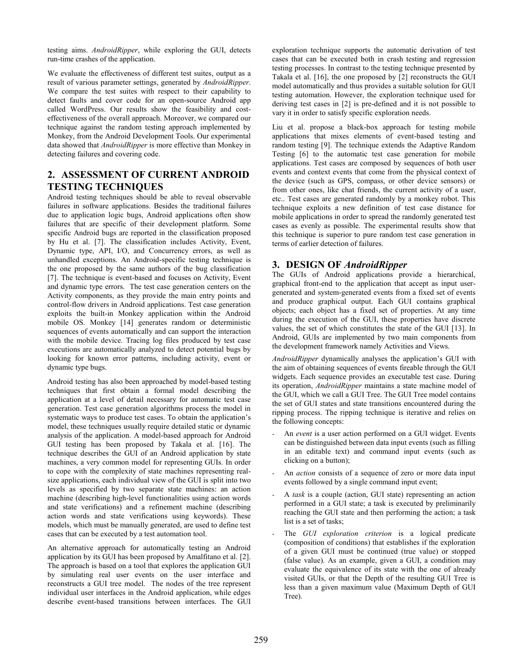testing aims. *AndroidRipper*, while exploring the GUI, detects run-time crashes of the application.

We evaluate the effectiveness of different test suites, output as a result of various parameter settings, generated by *AndroidRipper*. We compare the test suites with respect to their capability to detect faults and cover code for an open-source Android app called WordPress. Our results show the feasibility and costeffectiveness of the overall approach. Moreover, we compared our technique against the random testing approach implemented by Monkey, from the Android Development Tools. Our experimental data showed that *AndroidRipper* is more effective than Monkey in detecting failures and covering code.

# **2. ASSESSMENT OF CURRENT ANDROID TESTING TECHNIQUES**

Android testing techniques should be able to reveal observable failures in software applications. Besides the traditional failures due to application logic bugs, Android applications often show failures that are specific of their development platform. Some specific Android bugs are reported in the classification proposed by Hu et al. [7]. The classification includes Activity, Event, Dynamic type, API, I/O, and Concurrency errors, as well as unhandled exceptions. An Android-specific testing technique is the one proposed by the same authors of the bug classification [7]. The technique is event-based and focuses on Activity, Event and dynamic type errors. The test case generation centers on the Activity components, as they provide the main entry points and control-flow drivers in Android applications. Test case generation exploits the built-in Monkey application within the Android mobile OS. Monkey [14] generates random or deterministic sequences of events automatically and can support the interaction with the mobile device. Tracing log files produced by test case executions are automatically analyzed to detect potential bugs by looking for known error patterns, including activity, event or dynamic type bugs.

Android testing has also been approached by model-based testing techniques that first obtain a formal model describing the application at a level of detail necessary for automatic test case generation. Test case generation algorithms process the model in systematic ways to produce test cases. To obtain the application's model, these techniques usually require detailed static or dynamic analysis of the application. A model-based approach for Android GUI testing has been proposed by Takala et al. [16]. The technique describes the GUI of an Android application by state machines, a very common model for representing GUIs. In order to cope with the complexity of state machines representing realsize applications, each individual view of the GUI is split into two levels as specified by two separate state machines: an action machine (describing high-level functionalities using action words and state verifications) and a refinement machine (describing action words and state verifications using keywords). These models, which must be manually generated, are used to define test cases that can be executed by a test automation tool.

An alternative approach for automatically testing an Android application by its GUI has been proposed by Amalfitano et al. [2]. The approach is based on a tool that explores the application GUI by simulating real user events on the user interface and reconstructs a GUI tree model. The nodes of the tree represent individual user interfaces in the Android application, while edges describe event-based transitions between interfaces. The GUI

exploration technique supports the automatic derivation of test cases that can be executed both in crash testing and regression testing processes. In contrast to the testing technique presented by Takala et al. [16], the one proposed by [2] reconstructs the GUI model automatically and thus provides a suitable solution for GUI testing automation. However, the exploration technique used for deriving test cases in [2] is pre-defined and it is not possible to vary it in order to satisfy specific exploration needs.

Liu et al. propose a black-box approach for testing mobile applications that mixes elements of event-based testing and random testing [9]. The technique extends the Adaptive Random Testing [6] to the automatic test case generation for mobile applications. Test cases are composed by sequences of both user events and context events that come from the physical context of the device (such as GPS, compass, or other device sensors) or from other ones, like chat friends, the current activity of a user, etc.. Test cases are generated randomly by a monkey robot. This technique exploits a new definition of test case distance for mobile applications in order to spread the randomly generated test cases as evenly as possible. The experimental results show that this technique is superior to pure random test case generation in terms of earlier detection of failures.

# **3. DESIGN OF** *AndroidRipper*

The GUIs of Android applications provide a hierarchical, graphical front-end to the application that accept as input usergenerated and system-generated events from a fixed set of events and produce graphical output. Each GUI contains graphical objects; each object has a fixed set of properties. At any time during the execution of the GUI, these properties have discrete values, the set of which constitutes the state of the GUI [13]. In Android, GUIs are implemented by two main components from the development framework namely Activities and Views.

*AndroidRipper* dynamically analyses the application's GUI with the aim of obtaining sequences of events fireable through the GUI widgets. Each sequence provides an executable test case. During its operation, *AndroidRipper* maintains a state machine model of the GUI, which we call a GUI Tree. The GUI Tree model contains the set of GUI states and state transitions encountered during the ripping process. The ripping technique is iterative and relies on the following concepts:

- An *event* is a user action performed on a GUI widget. Events can be distinguished between data input events (such as filling in an editable text) and command input events (such as clicking on a button);
- An *action* consists of a sequence of zero or more data input events followed by a single command input event;
- A *task* is a couple (action, GUI state) representing an action performed in a GUI state; a task is executed by preliminarily reaching the GUI state and then performing the action; a task list is a set of tasks;
- The *GUI exploration criterion* is a logical predicate (composition of conditions) that establishes if the exploration of a given GUI must be continued (true value) or stopped (false value). As an example, given a GUI, a condition may evaluate the equivalence of its state with the one of already visited GUIs, or that the Depth of the resulting GUI Tree is less than a given maximum value (Maximum Depth of GUI Tree).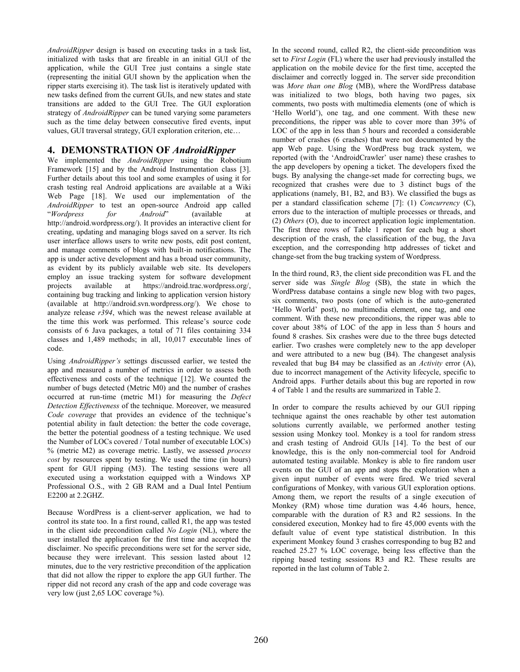*AndroidRipper* design is based on executing tasks in a task list, initialized with tasks that are fireable in an initial GUI of the application, while the GUI Tree just contains a single state (representing the initial GUI shown by the application when the ripper starts exercising it). The task list is iteratively updated with new tasks defined from the current GUIs, and new states and state transitions are added to the GUI Tree. The GUI exploration strategy of *AndroidRipper* can be tuned varying some parameters such as the time delay between consecutive fired events, input values, GUI traversal strategy, GUI exploration criterion, etc…

## **4. DEMONSTRATION OF** *AndroidRipper*

We implemented the *AndroidRipper* using the Robotium Framework [15] and by the Android Instrumentation class [3]. Further details about this tool and some examples of using it for crash testing real Android applications are available at a Wiki Web Page [18]. We used our implementation of the *AndroidRipper* to test an open-source Android app called "*Wordpress for Android*" (available at http://android.wordpress.org/). It provides an interactive client for creating, updating and managing blogs saved on a server. Its rich user interface allows users to write new posts, edit post content, and manage comments of blogs with built-in notifications. The app is under active development and has a broad user community, as evident by its publicly available web site. Its developers employ an issue tracking system for software development projects available at https://android.trac.wordpress.org/, containing bug tracking and linking to application version history (available at http://android.svn.wordpress.org/). We chose to analyze release *r394*, which was the newest release available at the time this work was performed. This release's source code consists of 6 Java packages, a total of 71 files containing 334 classes and 1,489 methods; in all, 10,017 executable lines of code.

Using *AndroidRipper's* settings discussed earlier, we tested the app and measured a number of metrics in order to assess both effectiveness and costs of the technique [12]. We counted the number of bugs detected (Metric M0) and the number of crashes occurred at run-time (metric M1) for measuring the *Defect Detection Effectiveness* of the technique. Moreover, we measured *Code coverage* that provides an evidence of the technique's potential ability in fault detection: the better the code coverage, the better the potential goodness of a testing technique. We used the Number of LOCs covered / Total number of executable LOCs) % (metric M2) as coverage metric. Lastly, we assessed *process cost* by resources spent by testing. We used the time (in hours) spent for GUI ripping (M3). The testing sessions were all executed using a workstation equipped with a Windows XP Professional O.S., with 2 GB RAM and a Dual Intel Pentium E2200 at 2.2GHZ.

Because WordPress is a client-server application, we had to control its state too. In a first round, called R1, the app was tested in the client side precondition called *No Login* (NL), where the user installed the application for the first time and accepted the disclaimer. No specific preconditions were set for the server side, because they were irrelevant. This session lasted about 12 minutes, due to the very restrictive precondition of the application that did not allow the ripper to explore the app GUI further. The ripper did not record any crash of the app and code coverage was very low (just 2,65 LOC coverage %).

In the second round, called R2, the client-side precondition was set to *First Login* (FL) where the user had previously installed the application on the mobile device for the first time, accepted the disclaimer and correctly logged in. The server side precondition was *More than one Blog* (MB), where the WordPress database was initialized to two blogs, both having two pages, six comments, two posts with multimedia elements (one of which is 'Hello World'), one tag, and one comment. With these new preconditions, the ripper was able to cover more than 39% of LOC of the app in less than 5 hours and recorded a considerable number of crashes (6 crashes) that were not documented by the app Web page. Using the WordPress bug track system, we reported (with the 'AndroidCrawler' user name) these crashes to the app developers by opening a ticket. The developers fixed the bugs. By analysing the change-set made for correcting bugs, we recognized that crashes were due to 3 distinct bugs of the applications (namely, B1, B2, and B3). We classified the bugs as per a standard classification scheme [7]: (1) *Concurrency* (C), errors due to the interaction of multiple processes or threads, and (2) *Others* (O), due to incorrect application logic implementation. The first three rows of Table 1 report for each bug a short description of the crash, the classification of the bug, the Java exception, and the corresponding http addresses of ticket and change-set from the bug tracking system of Wordpress.

In the third round, R3, the client side precondition was FL and the server side was *Single Blog* (SB), the state in which the WordPress database contains a single new blog with two pages, six comments, two posts (one of which is the auto-generated 'Hello World' post), no multimedia element, one tag, and one comment. With these new preconditions, the ripper was able to cover about 38% of LOC of the app in less than 5 hours and found 8 crashes. Six crashes were due to the three bugs detected earlier. Two crashes were completely new to the app developer and were attributed to a new bug (B4). The changeset analysis revealed that bug B4 may be classified as an *Activity* error (A), due to incorrect management of the Activity lifecycle, specific to Android apps. Further details about this bug are reported in row 4 of Table 1 and the results are summarized in Table 2.

In order to compare the results achieved by our GUI ripping technique against the ones reachable by other test automation solutions currently available, we performed another testing session using Monkey tool. Monkey is a tool for random stress and crash testing of Android GUIs [14]. To the best of our knowledge, this is the only non-commercial tool for Android automated testing available. Monkey is able to fire random user events on the GUI of an app and stops the exploration when a given input number of events were fired. We tried several configurations of Monkey, with various GUI exploration options. Among them, we report the results of a single execution of Monkey (RM) whose time duration was 4.46 hours, hence, comparable with the duration of R3 and R2 sessions. In the considered execution, Monkey had to fire 45,000 events with the default value of event type statistical distribution. In this experiment Monkey found 3 crashes corresponding to bug B2 and reached 25.27 % LOC coverage, being less effective than the ripping based testing sessions R3 and R2. These results are reported in the last column of Table 2.